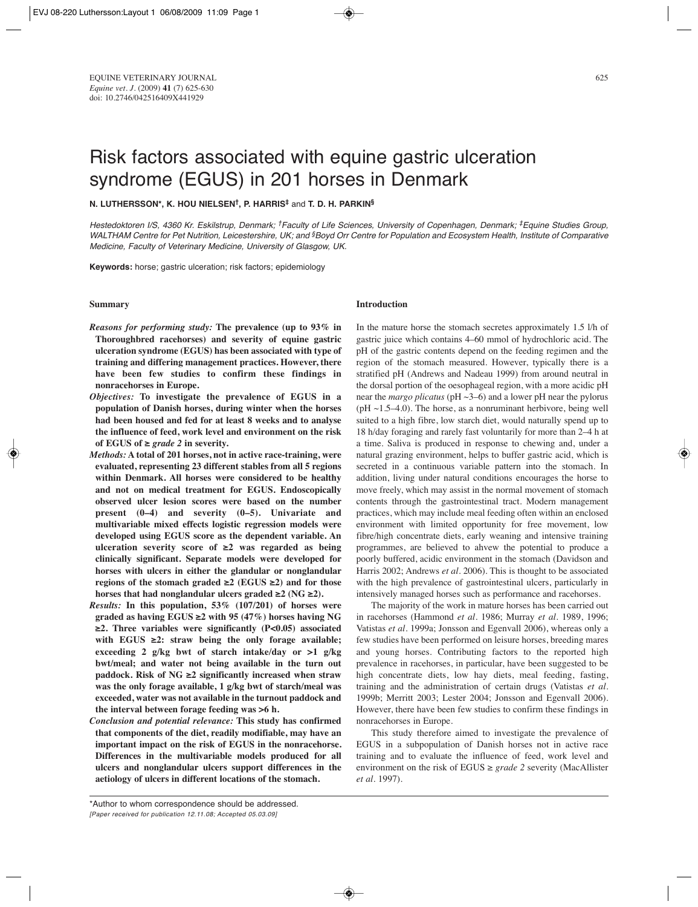# **N. LUTHERSSON\*, K. HOU NIELSEN†, P. HARRIS‡** and **T. D. H. PARKIN§**

Hestedoktoren I/S, 4360 Kr. Eskilstrup, Denmark; †Faculty of Life Sciences, University of Copenhagen, Denmark; ‡Equine Studies Group, WALTHAM Centre for Pet Nutrition, Leicestershire, UK; and §Boyd Orr Centre for Population and Ecosystem Health, Institute of Comparative Medicine, Faculty of Veterinary Medicine, University of Glasgow, UK.

**Keywords:** horse; gastric ulceration; risk factors; epidemiology

### **Summary**

- *Reasons for performing study:* **The prevalence (up to 93% in Thoroughbred racehorses) and severity of equine gastric ulceration syndrome (EGUS) has been associated with type of training and differing management practices. However, there have been few studies to confirm these findings in nonracehorses in Europe.**
- *Objectives:* **To investigate the prevalence of EGUS in a population of Danish horses, during winter when the horses had been housed and fed for at least 8 weeks and to analyse the influence of feed, work level and environment on the risk of EGUS of ≥** *grade 2* **in severity.**
- *Methods:* **A total of 201 horses, not in active race-training, were evaluated, representing 23 different stables from all 5 regions within Denmark. All horses were considered to be healthy and not on medical treatment for EGUS. Endoscopically observed ulcer lesion scores were based on the number present (0–4) and severity (0–5). Univariate and multivariable mixed effects logistic regression models were developed using EGUS score as the dependent variable. An ulceration severity score of ≥2 was regarded as being clinically significant. Separate models were developed for horses with ulcers in either the glandular or nonglandular regions of the stomach graded ≥2 (EGUS ≥2) and for those horses that had nonglandular ulcers graded ≥2 (NG ≥2).**
- *Results:* **In this population, 53% (107/201) of horses were graded as having EGUS ≥2 with 95 (47%) horses having NG ≥2. Three variables were significantly (P<0.05) associated with EGUS ≥2: straw being the only forage available; exceeding 2 g/kg bwt of starch intake/day or >1 g/kg bwt/meal; and water not being available in the turn out paddock. Risk of NG ≥2 significantly increased when straw was the only forage available, 1 g/kg bwt of starch/meal was exceeded, water was not available in the turnout paddock and the interval between forage feeding was >6 h.**
- *Conclusion and potential relevance:* **This study has confirmed that components of the diet, readily modifiable, may have an important impact on the risk of EGUS in the nonracehorse. Differences in the multivariable models produced for all ulcers and nonglandular ulcers support differences in the aetiology of ulcers in different locations of the stomach.**

### **Introduction**

In the mature horse the stomach secretes approximately 1.5 l/h of gastric juice which contains 4–60 mmol of hydrochloric acid. The pH of the gastric contents depend on the feeding regimen and the region of the stomach measured. However, typically there is a stratified pH (Andrews and Nadeau 1999) from around neutral in the dorsal portion of the oesophageal region, with a more acidic pH near the *margo plicatus* (pH ~3–6) and a lower pH near the pylorus  $(pH \sim 1.5-4.0)$ . The horse, as a nonruminant herbivore, being well suited to a high fibre, low starch diet, would naturally spend up to 18 h/day foraging and rarely fast voluntarily for more than 2–4 h at a time. Saliva is produced in response to chewing and, under a natural grazing environment, helps to buffer gastric acid, which is secreted in a continuous variable pattern into the stomach. In addition, living under natural conditions encourages the horse to move freely, which may assist in the normal movement of stomach contents through the gastrointestinal tract. Modern management practices, which may include meal feeding often within an enclosed environment with limited opportunity for free movement, low fibre/high concentrate diets, early weaning and intensive training programmes, are believed to ahvew the potential to produce a poorly buffered, acidic environment in the stomach (Davidson and Harris 2002; Andrews *et al.* 2006). This is thought to be associated with the high prevalence of gastrointestinal ulcers, particularly in intensively managed horses such as performance and racehorses.

The majority of the work in mature horses has been carried out in racehorses (Hammond *et al.* 1986; Murray *et al.* 1989, 1996; Vatistas *et al.* 1999a; Jonsson and Egenvall 2006), whereas only a few studies have been performed on leisure horses, breeding mares and young horses. Contributing factors to the reported high prevalence in racehorses, in particular, have been suggested to be high concentrate diets, low hay diets, meal feeding, fasting, training and the administration of certain drugs (Vatistas *et al.* 1999b; Merritt 2003; Lester 2004; Jonsson and Egenvall 2006). However, there have been few studies to confirm these findings in nonracehorses in Europe.

This study therefore aimed to investigate the prevalence of EGUS in a subpopulation of Danish horses not in active race training and to evaluate the influence of feed, work level and environment on the risk of EGUS ≥ *grade 2* severity (MacAllister *et al.* 1997).

\*Author to whom correspondence should be addressed. [Paper received for publication 12.11.08; Accepted 05.03.09]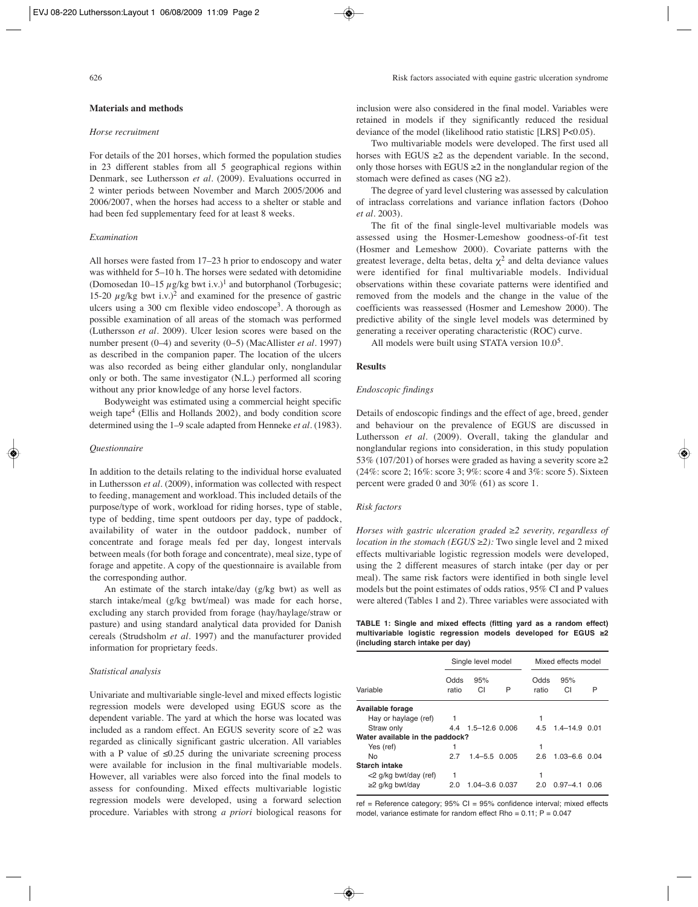# **Materials and methods**

# *Horse recruitment*

For details of the 201 horses, which formed the population studies in 23 different stables from all 5 geographical regions within Denmark, see Luthersson *et al.* (2009). Evaluations occurred in 2 winter periods between November and March 2005/2006 and 2006/2007, when the horses had access to a shelter or stable and had been fed supplementary feed for at least 8 weeks.

### *Examination*

All horses were fasted from 17–23 h prior to endoscopy and water was withheld for 5–10 h. The horses were sedated with detomidine (Domosedan 10–15  $\mu$ g/kg bwt i.v.)<sup>1</sup> and butorphanol (Torbugesic; 15-20  $\mu$ g/kg bwt i.v.)<sup>2</sup> and examined for the presence of gastric ulcers using a 300 cm flexible video endoscope<sup>3</sup>. A thorough as possible examination of all areas of the stomach was performed (Luthersson *et al.* 2009). Ulcer lesion scores were based on the number present (0–4) and severity (0–5) (MacAllister *et al.* 1997) as described in the companion paper. The location of the ulcers was also recorded as being either glandular only, nonglandular only or both. The same investigator (N.L.) performed all scoring without any prior knowledge of any horse level factors.

Bodyweight was estimated using a commercial height specific weigh tape<sup>4</sup> (Ellis and Hollands 2002), and body condition score determined using the 1–9 scale adapted from Henneke *et al.* (1983).

### *Questionnaire*

In addition to the details relating to the individual horse evaluated in Luthersson *et al.* (2009), information was collected with respect to feeding, management and workload. This included details of the purpose/type of work, workload for riding horses, type of stable, type of bedding, time spent outdoors per day, type of paddock, availability of water in the outdoor paddock, number of concentrate and forage meals fed per day, longest intervals between meals (for both forage and concentrate), meal size, type of forage and appetite. A copy of the questionnaire is available from the corresponding author.

An estimate of the starch intake/day (g/kg bwt) as well as starch intake/meal (g/kg bwt/meal) was made for each horse, excluding any starch provided from forage (hay/haylage/straw or pasture) and using standard analytical data provided for Danish cereals (Strudsholm *et al.* 1997) and the manufacturer provided information for proprietary feeds.

#### *Statistical analysis*

Univariate and multivariable single-level and mixed effects logistic regression models were developed using EGUS score as the dependent variable. The yard at which the horse was located was included as a random effect. An EGUS severity score of ≥2 was regarded as clinically significant gastric ulceration. All variables with a P value of  $\leq 0.25$  during the univariate screening process were available for inclusion in the final multivariable models. However, all variables were also forced into the final models to assess for confounding. Mixed effects multivariable logistic regression models were developed, using a forward selection procedure. Variables with strong *a priori* biological reasons for inclusion were also considered in the final model. Variables were retained in models if they significantly reduced the residual deviance of the model (likelihood ratio statistic [LRS] P<0.05).

Two multivariable models were developed. The first used all horses with EGUS  $\geq 2$  as the dependent variable. In the second, only those horses with EGUS  $\geq 2$  in the nonglandular region of the stomach were defined as cases (NG  $\geq$ 2).

The degree of yard level clustering was assessed by calculation of intraclass correlations and variance inflation factors (Dohoo *et al.* 2003).

The fit of the final single-level multivariable models was assessed using the Hosmer-Lemeshow goodness-of-fit test (Hosmer and Lemeshow 2000). Covariate patterns with the greatest leverage, delta betas, delta  $\chi^2$  and delta deviance values were identified for final multivariable models. Individual observations within these covariate patterns were identified and removed from the models and the change in the value of the coefficients was reassessed (Hosmer and Lemeshow 2000). The predictive ability of the single level models was determined by generating a receiver operating characteristic (ROC) curve.

All models were built using STATA version  $10.0<sup>5</sup>$ .

#### **Results**

# *Endoscopic findings*

Details of endoscopic findings and the effect of age, breed, gender and behaviour on the prevalence of EGUS are discussed in Luthersson *et al.* (2009). Overall, taking the glandular and nonglandular regions into consideration, in this study population 53% (107/201) of horses were graded as having a severity score  $\geq$ 2 (24%: score 2; 16%: score 3; 9%: score 4 and 3%: score 5). Sixteen percent were graded 0 and 30% (61) as score 1.

# *Risk factors*

*Horses with gastric ulceration graded ≥2 severity, regardless of location in the stomach (EGUS* ≥2): Two single level and 2 mixed effects multivariable logistic regression models were developed, using the 2 different measures of starch intake (per day or per meal). The same risk factors were identified in both single level models but the point estimates of odds ratios, 95% CI and P values were altered (Tables 1 and 2). Three variables were associated with

|                                   |  |  |  | TABLE 1: Single and mixed effects (fitting yard as a random effect) |  |  |  |  |
|-----------------------------------|--|--|--|---------------------------------------------------------------------|--|--|--|--|
|                                   |  |  |  | multivariable logistic regression models developed for EGUS ≥2      |  |  |  |  |
| (including starch intake per day) |  |  |  |                                                                     |  |  |  |  |

|                                 | Single level model |                      |   |  | Mixed effects model |                   |      |  |
|---------------------------------|--------------------|----------------------|---|--|---------------------|-------------------|------|--|
| Variable                        | Odds<br>ratio      | 95%<br>СI            | P |  | Odds<br>ratio       | 95%<br>СI         | Р    |  |
| Available forage                |                    |                      |   |  |                     |                   |      |  |
| Hay or haylage (ref)            |                    |                      |   |  |                     |                   |      |  |
| Straw only                      |                    | 4.4 1.5 - 12.6 0.006 |   |  | 4.5                 | $1.4 - 14.9$ 0.01 |      |  |
| Water available in the paddock? |                    |                      |   |  |                     |                   |      |  |
| Yes (ref)                       |                    |                      |   |  |                     |                   |      |  |
| No                              | 27                 | $1.4 - 5.5$ 0.005    |   |  | 2.6                 | $1.03 - 6.6$ 0.04 |      |  |
| Starch intake                   |                    |                      |   |  |                     |                   |      |  |
| <2 g/kg bwt/day (ref)           |                    |                      |   |  |                     |                   |      |  |
| $\geq$ 2 g/kg bwt/day           | 2.0                | 1.04-3.6 0.037       |   |  | 2.0                 | $0.97 - 4.1$      | 0.06 |  |

ref = Reference category;  $95\%$  CI =  $95\%$  confidence interval; mixed effects model, variance estimate for random effect Rho =  $0.11$ ; P =  $0.047$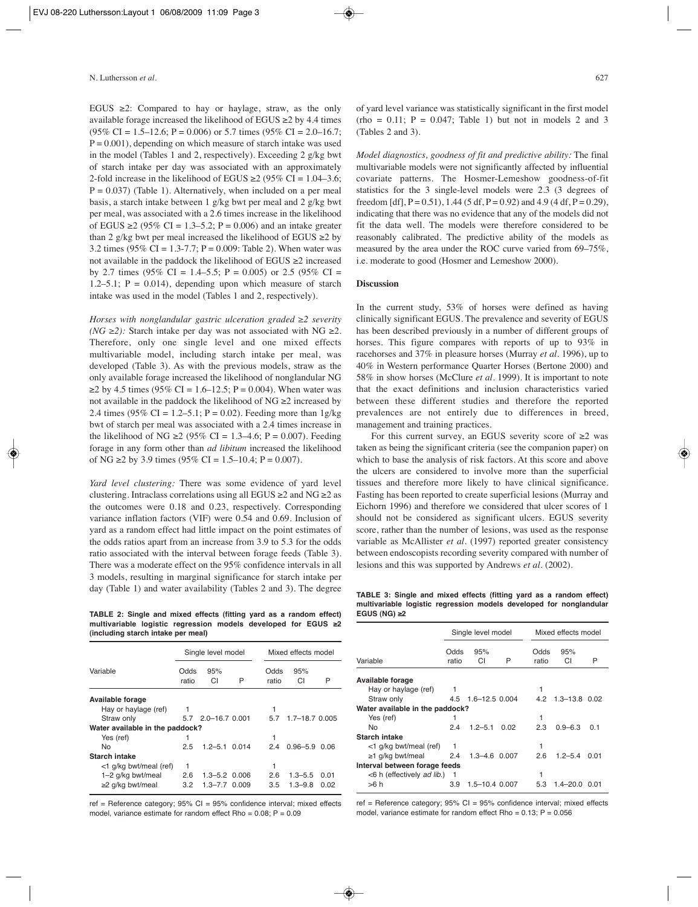EGUS  $\geq$ 2: Compared to hay or haylage, straw, as the only available forage increased the likelihood of EGUS  $\geq$  2 by 4.4 times  $(95\% \text{ CI} = 1.5 - 12.6; P = 0.006)$  or 5.7 times  $(95\% \text{ CI} = 2.0 - 16.7;$  $P = 0.001$ , depending on which measure of starch intake was used in the model (Tables 1 and 2, respectively). Exceeding 2 g/kg bwt of starch intake per day was associated with an approximately 2-fold increase in the likelihood of EGUS  $\geq 2$  (95% CI = 1.04–3.6;  $P = 0.037$ ) (Table 1). Alternatively, when included on a per meal basis, a starch intake between 1 g/kg bwt per meal and 2 g/kg bwt per meal, was associated with a 2.6 times increase in the likelihood of EGUS ≥2 (95% CI = 1.3–5.2; P = 0.006) and an intake greater than 2 g/kg bwt per meal increased the likelihood of EGUS  $\geq$ 2 by 3.2 times (95% CI = 1.3-7.7; P = 0.009: Table 2). When water was not available in the paddock the likelihood of EGUS ≥2 increased by 2.7 times (95% CI = 1.4–5.5; P = 0.005) or 2.5 (95% CI = 1.2–5.1;  $P = 0.014$ ), depending upon which measure of starch intake was used in the model (Tables 1 and 2, respectively).

*Horses with nonglandular gastric ulceration graded ≥2 severity (NG ≥2):* Starch intake per day was not associated with NG ≥2. Therefore, only one single level and one mixed effects multivariable model, including starch intake per meal, was developed (Table 3). As with the previous models, straw as the only available forage increased the likelihood of nonglandular NG  $≥2$  by 4.5 times (95% CI = 1.6–12.5; P = 0.004). When water was not available in the paddock the likelihood of  $NG \geq 2$  increased by 2.4 times (95% CI = 1.2–5.1; P = 0.02). Feeding more than  $1g/kg$ bwt of starch per meal was associated with a 2.4 times increase in the likelihood of NG ≥2 (95% CI = 1.3–4.6; P = 0.007). Feeding forage in any form other than *ad libitum* increased the likelihood of NG ≥2 by 3.9 times (95% CI = 1.5–10.4; P = 0.007).

*Yard level clustering:* There was some evidence of yard level clustering. Intraclass correlations using all EGUS  $\geq 2$  and NG  $\geq 2$  as the outcomes were 0.18 and 0.23, respectively. Corresponding variance inflation factors (VIF) were 0.54 and 0.69. Inclusion of yard as a random effect had little impact on the point estimates of the odds ratios apart from an increase from 3.9 to 5.3 for the odds ratio associated with the interval between forage feeds (Table 3). There was a moderate effect on the 95% confidence intervals in all 3 models, resulting in marginal significance for starch intake per day (Table 1) and water availability (Tables 2 and 3). The degree

**TABLE 2: Single and mixed effects (fitting yard as a random effect) multivariable logistic regression models developed for EGUS ≥2 (including starch intake per meal)**

|                                 | Single level model |                    |       |               | Mixed effects model |                    |      |  |
|---------------------------------|--------------------|--------------------|-------|---------------|---------------------|--------------------|------|--|
| Variable                        | Odds<br>ratio      | 95%<br>CI          | P     | Odds<br>ratio |                     | 95%<br>СI          | P    |  |
| Available forage                |                    |                    |       |               |                     |                    |      |  |
| Hay or haylage (ref)            |                    |                    |       |               |                     |                    |      |  |
| Straw only                      |                    | 5.7 2.0-16.7 0.001 |       | 5.7           |                     | $1.7 - 18.7$ 0.005 |      |  |
| Water available in the paddock? |                    |                    |       |               |                     |                    |      |  |
| Yes (ref)                       |                    |                    |       |               |                     |                    |      |  |
| No                              | 2.5                | $1.2 - 5.1$ 0.014  |       | 24            |                     | $0.96 - 5.9$       | 0.06 |  |
| <b>Starch intake</b>            |                    |                    |       |               |                     |                    |      |  |
| <1 g/kg bwt/meal (ref)          | 1                  |                    |       |               |                     |                    |      |  |
| 1-2 g/kg bwt/meal               | 2.6                | $1.3 - 5.2$ 0.006  |       | 2.6           |                     | $1.3 - 5.5$        | 0.01 |  |
| ≥2 g/kg bwt/meal                | 3.2                | 1.3–7.7            | 0.009 | 3.5           |                     | $1.3 - 9.8$        | 0.02 |  |

ref = Reference category; 95% CI = 95% confidence interval; mixed effects model, variance estimate for random effect Rho =  $0.08$ ;  $P = 0.09$ 

of yard level variance was statistically significant in the first model  $(rho = 0.11; P = 0.047;$  Table 1) but not in models 2 and 3 (Tables 2 and 3).

*Model diagnostics, goodness of fit and predictive ability:* The final multivariable models were not significantly affected by influential covariate patterns. The Hosmer-Lemeshow goodness-of-fit statistics for the 3 single-level models were 2.3 (3 degrees of freedom [df],  $P = 0.51$ ), 1.44 (5 df,  $P = 0.92$ ) and 4.9 (4 df,  $P = 0.29$ ), indicating that there was no evidence that any of the models did not fit the data well. The models were therefore considered to be reasonably calibrated. The predictive ability of the models as measured by the area under the ROC curve varied from 69–75%, i.e. moderate to good (Hosmer and Lemeshow 2000).

# **Discussion**

In the current study, 53% of horses were defined as having clinically significant EGUS. The prevalence and severity of EGUS has been described previously in a number of different groups of horses. This figure compares with reports of up to 93% in racehorses and 37% in pleasure horses (Murray *et al.* 1996), up to 40% in Western performance Quarter Horses (Bertone 2000) and 58% in show horses (McClure *et al.* 1999). It is important to note that the exact definitions and inclusion characteristics varied between these different studies and therefore the reported prevalences are not entirely due to differences in breed, management and training practices.

For this current survey, an EGUS severity score of  $\geq 2$  was taken as being the significant criteria (see the companion paper) on which to base the analysis of risk factors. At this score and above the ulcers are considered to involve more than the superficial tissues and therefore more likely to have clinical significance. Fasting has been reported to create superficial lesions (Murray and Eichorn 1996) and therefore we considered that ulcer scores of 1 should not be considered as significant ulcers. EGUS severity score, rather than the number of lesions, was used as the response variable as McAllister *et al.* (1997) reported greater consistency between endoscopists recording severity compared with number of lesions and this was supported by Andrews *et al.* (2002).

**TABLE 3: Single and mixed effects (fitting yard as a random effect) multivariable logistic regression models developed for nonglandular EGUS (NG) ≥2** 

|                                 |       | Single level model |      |       | Mixed effects model |      |  |  |
|---------------------------------|-------|--------------------|------|-------|---------------------|------|--|--|
|                                 | Odds  | 95%                |      | Odds  | 95%                 |      |  |  |
| Variable                        | ratio | CI                 | P    | ratio | СI                  | P    |  |  |
| Available forage                |       |                    |      |       |                     |      |  |  |
| Hay or haylage (ref)            | 1     |                    |      |       |                     |      |  |  |
| Straw only                      |       | 4.5 1.6-12.5 0.004 |      | 4.2   | $1.3 - 13.8$ 0.02   |      |  |  |
| Water available in the paddock? |       |                    |      |       |                     |      |  |  |
| Yes (ref)                       |       |                    |      |       |                     |      |  |  |
| No                              | 2.4   | $1.2 - 5.1$        | 0.02 | 2.3   | $0.9 - 6.3$         | 0 1  |  |  |
| Starch intake                   |       |                    |      |       |                     |      |  |  |
| <1 g/kg bwt/meal (ref)          | 1     |                    |      |       |                     |      |  |  |
| $\geq$ 1 g/kg bwt/meal          | 2.4   | $1.3 - 4.6$ 0.007  |      | 2.6   | $1.2 - 5.4$         | 0.01 |  |  |
| Interval between forage feeds   |       |                    |      |       |                     |      |  |  |
| <6 h (effectively ad lib.)      |       |                    |      |       |                     |      |  |  |
| >6 h                            | 3.9   | 1.5–10.4 0.007     |      | 5.3   | 1.4–20.0            | 001  |  |  |

ref = Reference category:  $95\%$  CI =  $95\%$  confidence interval; mixed effects model, variance estimate for random effect Rho =  $0.13$ ; P =  $0.056$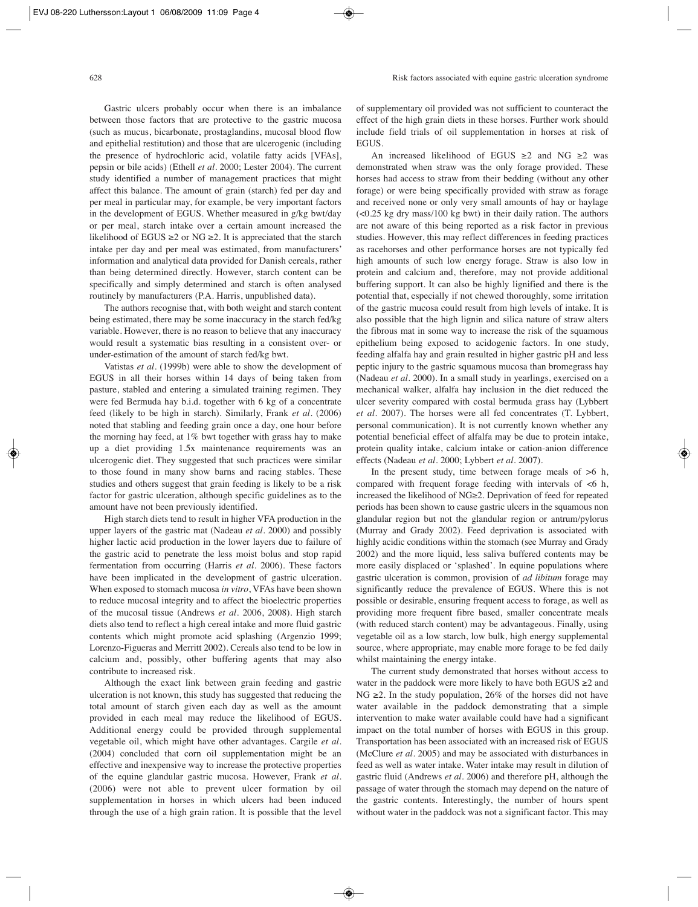Gastric ulcers probably occur when there is an imbalance between those factors that are protective to the gastric mucosa (such as mucus, bicarbonate, prostaglandins, mucosal blood flow and epithelial restitution) and those that are ulcerogenic (including the presence of hydrochloric acid, volatile fatty acids [VFAs], pepsin or bile acids) (Ethell *et al.* 2000; Lester 2004). The current study identified a number of management practices that might affect this balance. The amount of grain (starch) fed per day and per meal in particular may, for example, be very important factors in the development of EGUS. Whether measured in g/kg bwt/day or per meal, starch intake over a certain amount increased the likelihood of EGUS ≥2 or NG ≥2. It is appreciated that the starch intake per day and per meal was estimated, from manufacturers' information and analytical data provided for Danish cereals, rather than being determined directly. However, starch content can be specifically and simply determined and starch is often analysed routinely by manufacturers (P.A. Harris, unpublished data).

The authors recognise that, with both weight and starch content being estimated, there may be some inaccuracy in the starch fed/kg variable. However, there is no reason to believe that any inaccuracy would result a systematic bias resulting in a consistent over- or under-estimation of the amount of starch fed/kg bwt.

Vatistas *et al.* (1999b) were able to show the development of EGUS in all their horses within 14 days of being taken from pasture, stabled and entering a simulated training regimen. They were fed Bermuda hay b.i.d. together with 6 kg of a concentrate feed (likely to be high in starch). Similarly, Frank *et al.* (2006) noted that stabling and feeding grain once a day, one hour before the morning hay feed, at 1% bwt together with grass hay to make up a diet providing 1.5x maintenance requirements was an ulcerogenic diet. They suggested that such practices were similar to those found in many show barns and racing stables. These studies and others suggest that grain feeding is likely to be a risk factor for gastric ulceration, although specific guidelines as to the amount have not been previously identified.

High starch diets tend to result in higher VFA production in the upper layers of the gastric mat (Nadeau *et al.* 2000) and possibly higher lactic acid production in the lower layers due to failure of the gastric acid to penetrate the less moist bolus and stop rapid fermentation from occurring (Harris *et al.* 2006). These factors have been implicated in the development of gastric ulceration. When exposed to stomach mucosa *in vitro*, VFAs have been shown to reduce mucosal integrity and to affect the bioelectric properties of the mucosal tissue (Andrews *et al.* 2006, 2008). High starch diets also tend to reflect a high cereal intake and more fluid gastric contents which might promote acid splashing (Argenzio 1999; Lorenzo-Figueras and Merritt 2002). Cereals also tend to be low in calcium and, possibly, other buffering agents that may also contribute to increased risk.

Although the exact link between grain feeding and gastric ulceration is not known, this study has suggested that reducing the total amount of starch given each day as well as the amount provided in each meal may reduce the likelihood of EGUS. Additional energy could be provided through supplemental vegetable oil, which might have other advantages. Cargile *et al.* (2004) concluded that corn oil supplementation might be an effective and inexpensive way to increase the protective properties of the equine glandular gastric mucosa. However, Frank *et al.* (2006) were not able to prevent ulcer formation by oil supplementation in horses in which ulcers had been induced through the use of a high grain ration. It is possible that the level

of supplementary oil provided was not sufficient to counteract the effect of the high grain diets in these horses. Further work should include field trials of oil supplementation in horses at risk of EGUS.

An increased likelihood of EGUS ≥2 and NG ≥2 was demonstrated when straw was the only forage provided. These horses had access to straw from their bedding (without any other forage) or were being specifically provided with straw as forage and received none or only very small amounts of hay or haylage (<0.25 kg dry mass/100 kg bwt) in their daily ration. The authors are not aware of this being reported as a risk factor in previous studies. However, this may reflect differences in feeding practices as racehorses and other performance horses are not typically fed high amounts of such low energy forage. Straw is also low in protein and calcium and, therefore, may not provide additional buffering support. It can also be highly lignified and there is the potential that, especially if not chewed thoroughly, some irritation of the gastric mucosa could result from high levels of intake. It is also possible that the high lignin and silica nature of straw alters the fibrous mat in some way to increase the risk of the squamous epithelium being exposed to acidogenic factors. In one study, feeding alfalfa hay and grain resulted in higher gastric pH and less peptic injury to the gastric squamous mucosa than bromegrass hay (Nadeau *et al.* 2000). In a small study in yearlings, exercised on a mechanical walker, alfalfa hay inclusion in the diet reduced the ulcer severity compared with costal bermuda grass hay (Lybbert *et al.* 2007). The horses were all fed concentrates (T. Lybbert, personal communication). It is not currently known whether any potential beneficial effect of alfalfa may be due to protein intake, protein quality intake, calcium intake or cation-anion difference effects (Nadeau *et al.* 2000; Lybbert *et al.* 2007).

In the present study, time between forage meals of >6 h, compared with frequent forage feeding with intervals of  $<6$  h, increased the likelihood of NG≥2. Deprivation of feed for repeated periods has been shown to cause gastric ulcers in the squamous non glandular region but not the glandular region or antrum/pylorus (Murray and Grady 2002). Feed deprivation is associated with highly acidic conditions within the stomach (see Murray and Grady 2002) and the more liquid, less saliva buffered contents may be more easily displaced or 'splashed'. In equine populations where gastric ulceration is common, provision of *ad libitum* forage may significantly reduce the prevalence of EGUS. Where this is not possible or desirable, ensuring frequent access to forage, as well as providing more frequent fibre based, smaller concentrate meals (with reduced starch content) may be advantageous. Finally, using vegetable oil as a low starch, low bulk, high energy supplemental source, where appropriate, may enable more forage to be fed daily whilst maintaining the energy intake.

The current study demonstrated that horses without access to water in the paddock were more likely to have both EGUS ≥2 and NG  $\geq$ 2. In the study population, 26% of the horses did not have water available in the paddock demonstrating that a simple intervention to make water available could have had a significant impact on the total number of horses with EGUS in this group. Transportation has been associated with an increased risk of EGUS (McClure *et al.* 2005) and may be associated with disturbances in feed as well as water intake. Water intake may result in dilution of gastric fluid (Andrews *et al.* 2006) and therefore pH, although the passage of water through the stomach may depend on the nature of the gastric contents. Interestingly, the number of hours spent without water in the paddock was not a significant factor. This may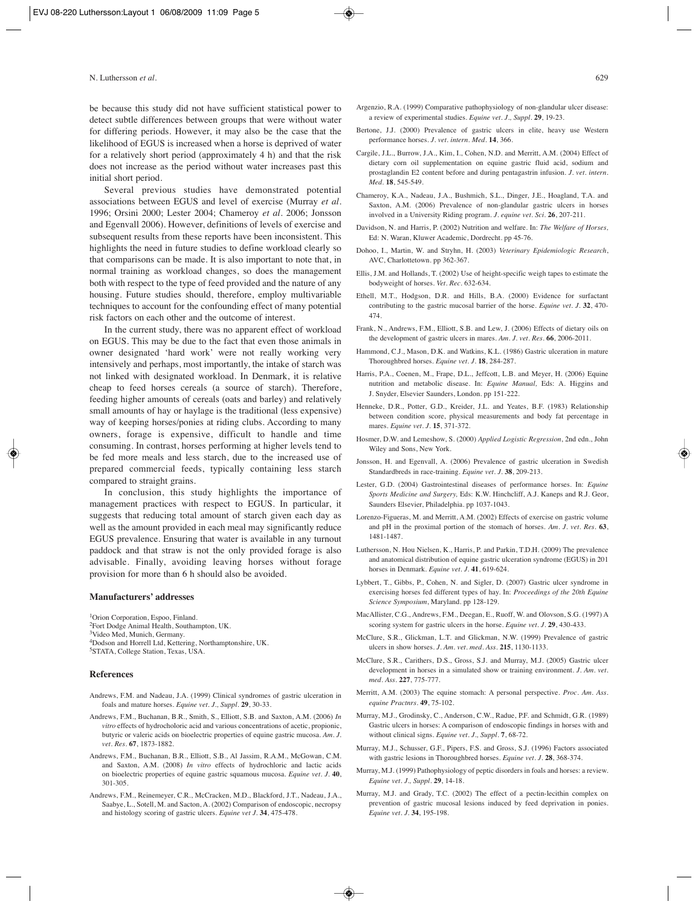be because this study did not have sufficient statistical power to detect subtle differences between groups that were without water for differing periods. However, it may also be the case that the likelihood of EGUS is increased when a horse is deprived of water for a relatively short period (approximately 4 h) and that the risk does not increase as the period without water increases past this initial short period.

Several previous studies have demonstrated potential associations between EGUS and level of exercise (Murray *et al.* 1996; Orsini 2000; Lester 2004; Chameroy *et al.* 2006; Jonsson and Egenvall 2006). However, definitions of levels of exercise and subsequent results from these reports have been inconsistent. This highlights the need in future studies to define workload clearly so that comparisons can be made. It is also important to note that, in normal training as workload changes, so does the management both with respect to the type of feed provided and the nature of any housing. Future studies should, therefore, employ multivariable techniques to account for the confounding effect of many potential risk factors on each other and the outcome of interest.

In the current study, there was no apparent effect of workload on EGUS. This may be due to the fact that even those animals in owner designated 'hard work' were not really working very intensively and perhaps, most importantly, the intake of starch was not linked with designated workload. In Denmark, it is relative cheap to feed horses cereals (a source of starch). Therefore, feeding higher amounts of cereals (oats and barley) and relatively small amounts of hay or haylage is the traditional (less expensive) way of keeping horses/ponies at riding clubs. According to many owners, forage is expensive, difficult to handle and time consuming. In contrast, horses performing at higher levels tend to be fed more meals and less starch, due to the increased use of prepared commercial feeds, typically containing less starch compared to straight grains.

In conclusion, this study highlights the importance of management practices with respect to EGUS. In particular, it suggests that reducing total amount of starch given each day as well as the amount provided in each meal may significantly reduce EGUS prevalence. Ensuring that water is available in any turnout paddock and that straw is not the only provided forage is also advisable. Finally, avoiding leaving horses without forage provision for more than 6 h should also be avoided.

#### **Manufacturers' addresses**

<sup>1</sup>Orion Corporation, Espoo, Finland. 2Fort Dodge Animal Health, Southampton, UK. 3Video Med, Munich, Germany. 4Dodson and Horrell Ltd, Kettering, Northamptonshire, UK. 5STATA, College Station, Texas, USA.

#### **References**

- Andrews, F.M. and Nadeau, J.A. (1999) Clinical syndromes of gastric ulceration in foals and mature horses. *Equine vet. J., Suppl.* **29**, 30-33.
- Andrews, F.M., Buchanan, B.R., Smith, S., Elliott, S.B. and Saxton, A.M. (2006) *In vitro* effects of hydrocholoric acid and various concentrations of acetic, propionic, butyric or valeric acids on bioelectric properties of equine gastric mucosa. *Am. J. vet. Res.* **67**, 1873-1882.
- Andrews, F.M., Buchanan, B.R., Elliott, S.B., Al Jassim, R.A.M., McGowan, C.M. and Saxton, A.M. (2008) *In vitro* effects of hydrochloric and lactic acids on bioelectric properties of equine gastric squamous mucosa. *Equine vet. J.* **40**, 301-305.
- Andrews, F.M., Reinemeyer, C.R., McCracken, M.D., Blackford, J.T., Nadeau, J.A., Saabye, L., Sotell, M. and Sacton, A. (2002) Comparison of endoscopic, necropsy and histology scoring of gastric ulcers. *Equine vet J.* **34**, 475-478.
- Argenzio, R.A. (1999) Comparative pathophysiology of non-glandular ulcer disease: a review of experimental studies. *Equine vet. J., Suppl.* **29**, 19-23.
- Bertone, J.J. (2000) Prevalence of gastric ulcers in elite, heavy use Western performance horses. *J. vet. intern. Med.* **14**, 366.
- Cargile, J.L., Burrow, J.A., Kim, I., Cohen, N.D. and Merritt, A.M. (2004) Effect of dietary corn oil supplementation on equine gastric fluid acid, sodium and prostaglandin E2 content before and during pentagastrin infusion. *J. vet. intern. Med.* **18**, 545-549.
- Chameroy, K.A., Nadeau, J.A., Bushmich, S.L., Dinger, J.E., Hoagland, T.A. and Saxton, A.M. (2006) Prevalence of non-glandular gastric ulcers in horses involved in a University Riding program. *J. equine vet. Sci.* **26**, 207-211.
- Davidson, N. and Harris, P. (2002) Nutrition and welfare. In: *The Welfare of Horses,* Ed: N. Waran, Kluwer Academic, Dordrecht. pp 45-76.
- Dohoo, I., Martin, W. and Stryhn, H. (2003) *Veterinary Epidemiologic Research*, AVC, Charlottetown. pp 362-367.
- Ellis, J.M. and Hollands, T. (2002) Use of height-specific weigh tapes to estimate the bodyweight of horses. *Vet. Rec.* 632-634.
- Ethell, M.T., Hodgson, D.R. and Hills, B.A. (2000) Evidence for surfactant contributing to the gastric mucosal barrier of the horse. *Equine vet. J.* **32**, 470- 474.
- Frank, N., Andrews, F.M., Elliott, S.B. and Lew, J. (2006) Effects of dietary oils on the development of gastric ulcers in mares. *Am. J. vet. Res.* **66**, 2006-2011.
- Hammond, C.J., Mason, D.K. and Watkins, K.L. (1986) Gastric ulceration in mature Thoroughbred horses. *Equine vet. J.* **18**, 284-287.
- Harris, P.A., Coenen, M., Frape, D.L., Jeffcott, L.B. and Meyer, H. (2006) Equine nutrition and metabolic disease. In: *Equine Manual,* Eds: A. Higgins and J. Snyder, Elsevier Saunders, London. pp 151-222.
- Henneke, D.R., Potter, G.D., Kreider, J.L. and Yeates, B.F. (1983) Relationship between condition score, physical measurements and body fat percentage in mares. *Equine vet. J.* **15**, 371-372.
- Hosmer, D.W. and Lemeshow, S. (2000) *Applied Logistic Regression*, 2nd edn., John Wiley and Sons, New York.
- Jonsson, H. and Egenvall, A. (2006) Prevalence of gastric ulceration in Swedish Standardbreds in race-training. *Equine vet. J.* **38**, 209-213.
- Lester, G.D. (2004) Gastrointestinal diseases of performance horses. In: *Equine Sports Medicine and Surgery,* Eds: K.W. Hinchcliff, A.J. Kaneps and R.J. Geor, Saunders Elsevier, Philadelphia. pp 1037-1043.
- Lorenzo-Figueras, M. and Merritt, A.M. (2002) Effects of exercise on gastric volume and pH in the proximal portion of the stomach of horses. *Am. J. vet. Res.* **63**, 1481-1487.
- Luthersson, N. Hou Nielsen, K., Harris, P. and Parkin, T.D.H. (2009) The prevalence and anatomical distribution of equine gastric ulceration syndrome (EGUS) in 201 horses in Denmark. *Equine vet. J.* **41**, 619-624.
- Lybbert, T., Gibbs, P., Cohen, N. and Sigler, D. (2007) Gastric ulcer syndrome in exercising horses fed different types of hay. In: *Proceedings of the 20th Equine Science Symposium*, Maryland. pp 128-129.
- MacAllister, C.G., Andrews, F.M., Deegan, E., Ruoff, W. and Olovson, S.G. (1997) A scoring system for gastric ulcers in the horse. *Equine vet. J.* **29**, 430-433.
- McClure, S.R., Glickman, L.T. and Glickman, N.W. (1999) Prevalence of gastric ulcers in show horses. *J. Am. vet. med. Ass.* **215**, 1130-1133.
- McClure, S.R., Carithers, D.S., Gross, S.J. and Murray, M.J. (2005) Gastric ulcer development in horses in a simulated show or training environment. *J. Am. vet. med. Ass.* **227**, 775-777.
- Merritt, A.M. (2003) The equine stomach: A personal perspective. *Proc. Am. Ass. equine Practnrs.* **49**, 75-102.
- Murray, M.J., Grodinsky, C., Anderson, C.W., Radue, P.F. and Schmidt, G.R. (1989) Gastric ulcers in horses: A comparison of endoscopic findings in horses with and without clinical signs. *Equine vet. J., Suppl.* **7**, 68-72.
- Murray, M.J., Schusser, G.F., Pipers, F.S. and Gross, S.J. (1996) Factors associated with gastric lesions in Thoroughbred horses. *Equine vet. J.* **28**, 368-374.
- Murray, M.J. (1999) Pathophysiology of peptic disorders in foals and horses: a review. *Equine vet. J., Suppl.* **29**, 14-18.
- Murray, M.J. and Grady, T.C. (2002) The effect of a pectin-lecithin complex on prevention of gastric mucosal lesions induced by feed deprivation in ponies. *Equine vet. J.* **34**, 195-198.